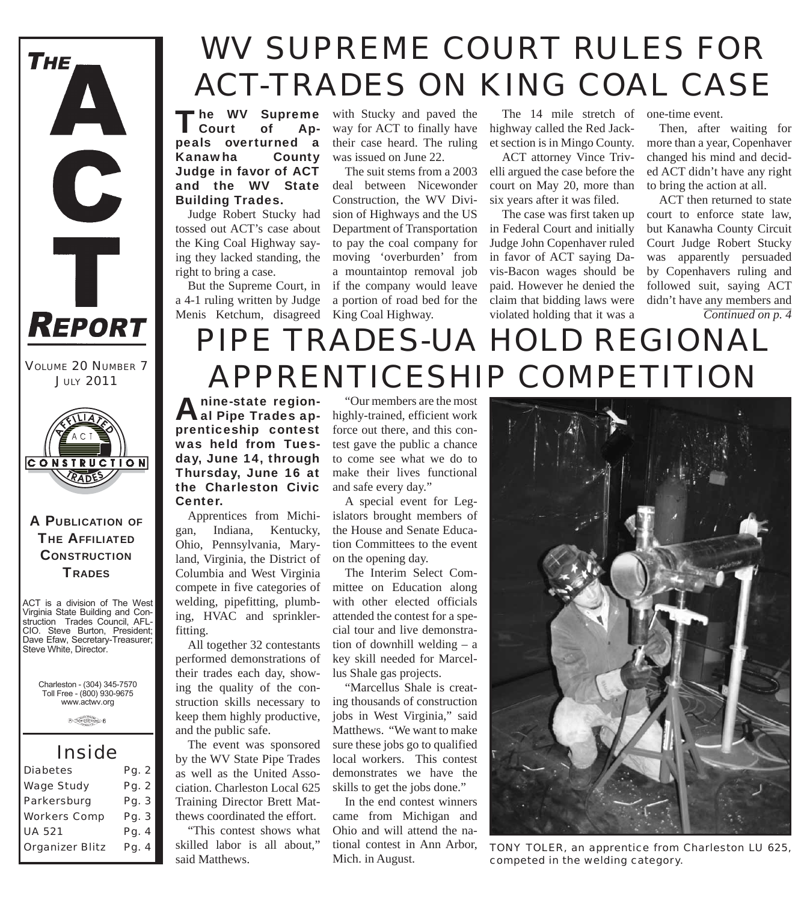

*JULY 2011*



#### A PUBLICATION OF **THE AFFILIATED CONSTRUCTION TRADES**

ACT is a division of The West Virginia State Building and Construction Trades Council, AFL-CIO. Steve Burton, President; Dave Efaw, Secretary-Treasurer; Steve White, Director.

Charleston - (304) 345-7570 Toll Free - (800) 930-9675 www.actwv.org

 $\theta \xrightarrow{\text{Cov}(1,1)} \theta$ 

## *Inside*

| Pg. 2 |
|-------|
| Pg. 2 |
| Pg. 3 |
| Pg. 3 |
| Pg. 4 |
| Pg. 4 |
|       |

# *WV SUPREME COURT RULES FOR ACT-TRADES ON KING COAL CASE*

"he WV Supreme<br>Court of Apl Court peals overturned a Kanawha County Judge in favor of ACT and the WV State Building Trades.

Judge Robert Stucky had tossed out ACT's case about the King Coal Highway saying they lacked standing, the right to bring a case.

But the Supreme Court, in a 4-1 ruling written by Judge Menis Ketchum, disagreed King Coal Highway.

with Stucky and paved the way for ACT to finally have their case heard. The ruling was issued on June 22.

The suit stems from a 2003 deal between Nicewonder Construction, the WV Division of Highways and the US Department of Transportation to pay the coal company for moving 'overburden' from a mountaintop removal job if the company would leave a portion of road bed for the

The 14 mile stretch of one-time event. highway called the Red Jacket section is in Mingo County.

ACT attorney Vince Trivelli argued the case before the court on May 20, more than six years after it was filed.

The case was first taken up in Federal Court and initially Judge John Copenhaver ruled in favor of ACT saying Davis-Bacon wages should be paid. However he denied the claim that bidding laws were violated holding that it was a

Then, after waiting for more than a year, Copenhaver changed his mind and decided ACT didn't have any right to bring the action at all.

ACT then returned to state court to enforce state law, but Kanawha County Circuit Court Judge Robert Stucky was apparently persuaded by Copenhavers ruling and followed suit, saying ACT didn't have any members and *Continued on p. 4*

## *PIPE TRADES-UA HOLD REGIONAL VOLUME 20 NUMBER 7 APPRENTICESHIP COMPETITION*

nine-state regionprenticeship contest was held from Tuesday, June 14, through Thursday, June 16 at the Charleston Civic Center.

Apprentices from Michigan, Indiana, Kentucky, Ohio, Pennsylvania, Maryland, Virginia, the District of Columbia and West Virginia compete in five categories of welding, pipefitting, plumbing, HVAC and sprinklerfitting.

All together 32 contestants performed demonstrations of their trades each day, showing the quality of the construction skills necessary to keep them highly productive, and the public safe.

The event was sponsored by the WV State Pipe Trades as well as the United Association. Charleston Local 625 Training Director Brett Matthews coordinated the effort.

"This contest shows what skilled labor is all about," said Matthews.

al Pipe Trades ap- highly-trained, efficient work "Our members are the most force out there, and this contest gave the public a chance to come see what we do to make their lives functional and safe every day."

A special event for Legislators brought members of the House and Senate Education Committees to the event on the opening day.

The Interim Select Committee on Education along with other elected officials attended the contest for a special tour and live demonstration of downhill welding – a key skill needed for Marcellus Shale gas projects.

"Marcellus Shale is creating thousands of construction jobs in West Virginia," said Matthews. "We want to make sure these jobs go to qualified local workers. This contest demonstrates we have the skills to get the jobs done."

In the end contest winners came from Michigan and Ohio and will attend the national contest in Ann Arbor, Mich. in August.



*TONY TOLER, an apprentice from Charleston LU 625, competed in the welding category.*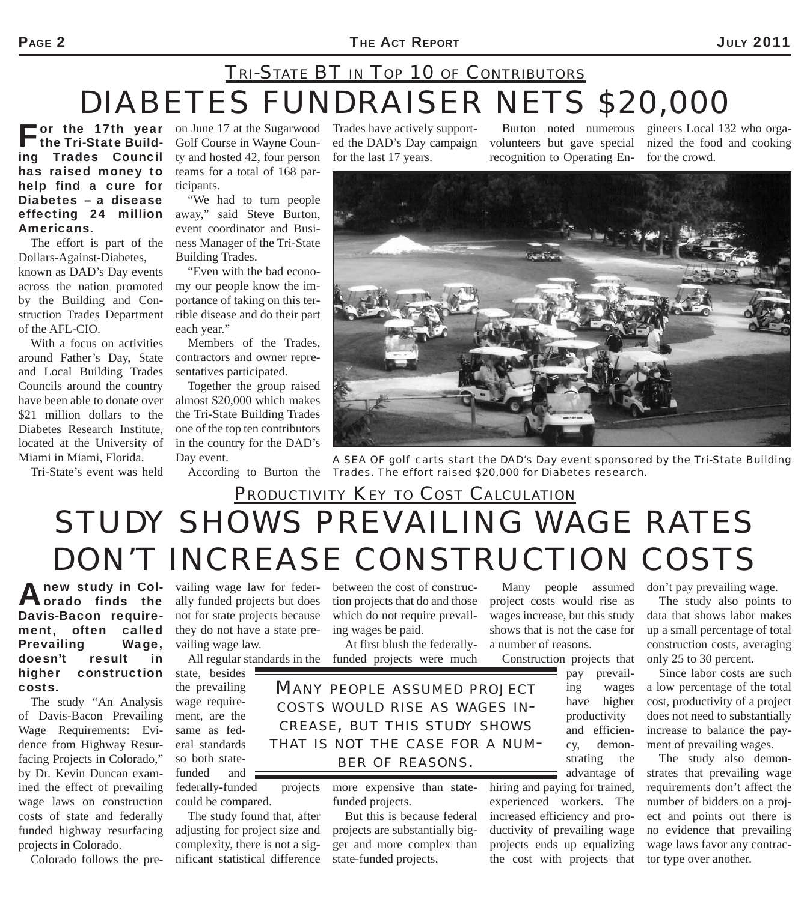#### PAGE 2 **THE ACT REPORT** 2011

## *DIABETES FUNDRAISER NETS \$20,000 TRI-STATE BT IN TOP 10 OF CONTRIBUTORS*

 $\blacksquare$  or the 17th year the Tri-State Building Trades Council has raised money to help find a cure for Diabetes – a disease effecting 24 million Americans.

The effort is part of the Dollars-Against-Diabetes, known as DAD's Day events across the nation promoted by the Building and Construction Trades Department of the AFL-CIO.

With a focus on activities around Father's Day, State and Local Building Trades Councils around the country have been able to donate over \$21 million dollars to the Diabetes Research Institute, located at the University of Miami in Miami, Florida.

Tri-State's event was held

on June 17 at the Sugarwood Golf Course in Wayne County and hosted 42, four person teams for a total of 168 participants.

"We had to turn people away," said Steve Burton, event coordinator and Business Manager of the Tri-State Building Trades.

"Even with the bad economy our people know the importance of taking on this terrible disease and do their part each year."

Members of the Trades, contractors and owner representatives participated.

Together the group raised almost \$20,000 which makes the Tri-State Building Trades one of the top ten contributors in the country for the DAD's Day event.

Trades have actively supported the DAD's Day campaign for the last 17 years.

Burton noted numerous volunteers but gave special nized the food and cooking recognition to Operating En-

gineers Local 132 who orgafor the crowd.



According to Burton the *Trades. The effort raised \$20,000 for Diabetes research. A SEA OF golf carts start the DAD's Day event sponsored by the Tri-State Building* 

## *STUDY SHOWS PREVAILING WAGE RATES DON'T INCREASE CONSTRUCTION COSTS PRODUCTIVITY KEY TO COST CALCULATION*

between the cost of construction projects that do and those which do not require prevail-

At first blush the federally-

ing wages be paid.

A new study in Col-vailing wage law for feder-<br> **A new study in Col-vailing wage law for feder**orado finds the Davis-Bacon requirement, often called Prevailing Wage, doesn't result in higher construction costs.

The study "An Analysis of Davis-Bacon Prevailing Wage Requirements: Evidence from Highway Resurfacing Projects in Colorado," by Dr. Kevin Duncan examined the effect of prevailing wage laws on construction costs of state and federally funded highway resurfacing projects in Colorado.

Colorado follows the pre-

ally funded projects but does not for state projects because they do not have a state prevailing wage law.

All regular standards in the funded projects were much

state, besides the prevailing wage requirement, are the same as federal standards so both statefunded and federally-funded projects

could be compared. The study found that, after adjusting for project size and complexity, there is not a significant statistical difference

more expensive than statefunded projects.

But this is because federal projects are substantially bigger and more complex than state-funded projects.

Many people assumed project costs would rise as wages increase, but this study shows that is not the case for a number of reasons.

Construction projects that

pay prevailing wages have higher productivity and efficiency, demonstrating the advantage of

hiring and paying for trained, experienced workers. The increased efficiency and productivity of prevailing wage projects ends up equalizing the cost with projects that

don't pay prevailing wage.

The study also points to data that shows labor makes up a small percentage of total construction costs, averaging only 25 to 30 percent.

Since labor costs are such a low percentage of the total cost, productivity of a project does not need to substantially increase to balance the payment of prevailing wages.

The study also demonstrates that prevailing wage requirements don't affect the number of bidders on a project and points out there is no evidence that prevailing wage laws favor any contractor type over another.

*MANY PEOPLE ASSUMED PROJECT COSTS WOULD RISE AS WAGES IN-CREASE, BUT THIS STUDY SHOWS THAT IS NOT THE CASE FOR <sup>A</sup> NUM- BER OF REASONS.*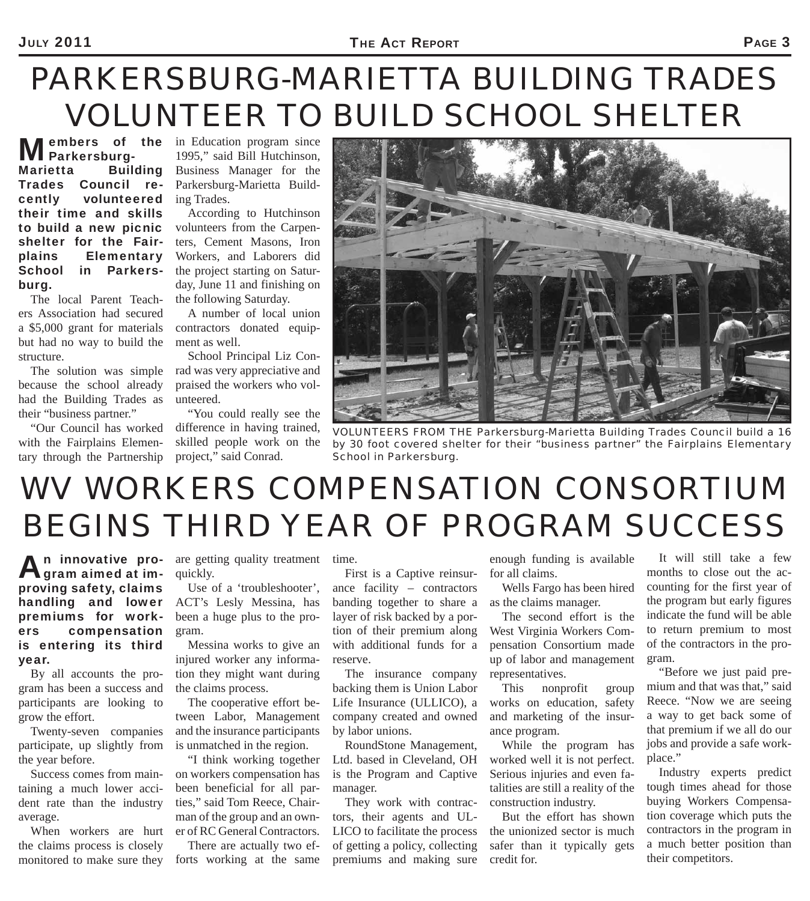# *PARKERSBURG-MARIETTA BUILDING TRADES VOLUNTEER TO BUILD SCHOOL SHELTER*

Parkersburg-Marietta Building Trades Council revolunteered their time and skills to build a new picnic shelter for the Fairplains Elementary School in Parkersburg.

The local Parent Teachers Association had secured a \$5,000 grant for materials but had no way to build the structure.

The solution was simple because the school already had the Building Trades as their "business partner."

"Our Council has worked with the Fairplains Elementary through the Partnership

**Members of the in Education program since**<br> **MParkersburg-** 1995," said Bill Hutchinson, 1995," said Bill Hutchinson, Business Manager for the Parkersburg-Marietta Building Trades.

> According to Hutchinson volunteers from the Carpenters, Cement Masons, Iron Workers, and Laborers did the project starting on Saturday, June 11 and finishing on the following Saturday.

A number of local union contractors donated equipment as well.

School Principal Liz Conrad was very appreciative and praised the workers who volunteered.

"You could really see the difference in having trained, skilled people work on the project," said Conrad.



*VOLUNTEERS FROM THE Parkersburg-Marietta Building Trades Council build a 16 by 30 foot covered shelter for their "business partner" the Fairplains Elementary School in Parkersburg.*

# *WV WORKERS COMPENSATION CONSORTIUM BEGINS THIRD YEAR OF PROGRAM SUCCESS*

An innovative pro-<br>Agram aimed at improving safety, claims handling and lower premiums for workers compensation is entering its third year.

By all accounts the program has been a success and participants are looking to grow the effort.

Twenty-seven companies participate, up slightly from the year before.

Success comes from maintaining a much lower accident rate than the industry average.

When workers are hurt the claims process is closely monitored to make sure they

are getting quality treatment time. quickly.

Use of a 'troubleshooter', ACT's Lesly Messina, has been a huge plus to the program.

Messina works to give an injured worker any information they might want during the claims process.

The cooperative effort between Labor, Management and the insurance participants is unmatched in the region.

"I think working together on workers compensation has been beneficial for all parties," said Tom Reece, Chairman of the group and an owner of RC General Contractors.

There are actually two efforts working at the same

First is a Captive reinsurance facility – contractors banding together to share a layer of risk backed by a portion of their premium along with additional funds for a reserve.

The insurance company backing them is Union Labor Life Insurance (ULLICO), a company created and owned by labor unions.

RoundStone Management, Ltd. based in Cleveland, OH is the Program and Captive manager.

They work with contractors, their agents and UL-LICO to facilitate the process of getting a policy, collecting premiums and making sure enough funding is available for all claims.

Wells Fargo has been hired as the claims manager.

The second effort is the West Virginia Workers Compensation Consortium made up of labor and management representatives.

This nonprofit group works on education, safety and marketing of the insurance program.

While the program has worked well it is not perfect. Serious injuries and even fatalities are still a reality of the construction industry.

But the effort has shown the unionized sector is much safer than it typically gets credit for.

It will still take a few months to close out the accounting for the first year of the program but early figures indicate the fund will be able to return premium to most of the contractors in the program.

"Before we just paid premium and that was that," said Reece. "Now we are seeing a way to get back some of that premium if we all do our jobs and provide a safe workplace."

Industry experts predict tough times ahead for those buying Workers Compensation coverage which puts the contractors in the program in a much better position than their competitors.